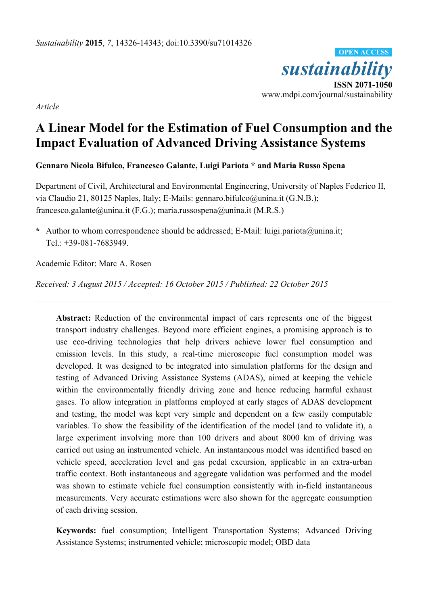*sustainability*  **ISSN 2071-1050**  www.mdpi.com/journal/sustainability **OPEN ACCESS**

*Article* 

# **A Linear Model for the Estimation of Fuel Consumption and the Impact Evaluation of Advanced Driving Assistance Systems**

**Gennaro Nicola Bifulco, Francesco Galante, Luigi Pariota \* and Maria Russo Spena** 

Department of Civil, Architectural and Environmental Engineering, University of Naples Federico II, via Claudio 21, 80125 Naples, Italy; E-Mails: gennaro.bifulco@unina.it (G.N.B.); francesco.galante@unina.it (F.G.); maria.russospena@unina.it (M.R.S.)

**\*** Author to whom correspondence should be addressed; E-Mail: luigi.pariota@unina.it; Tel.: +39-081-7683949.

Academic Editor: Marc A. Rosen

*Received: 3 August 2015 / Accepted: 16 October 2015 / Published: 22 October 2015* 

**Abstract:** Reduction of the environmental impact of cars represents one of the biggest transport industry challenges. Beyond more efficient engines, a promising approach is to use eco-driving technologies that help drivers achieve lower fuel consumption and emission levels. In this study, a real-time microscopic fuel consumption model was developed. It was designed to be integrated into simulation platforms for the design and testing of Advanced Driving Assistance Systems (ADAS), aimed at keeping the vehicle within the environmentally friendly driving zone and hence reducing harmful exhaust gases. To allow integration in platforms employed at early stages of ADAS development and testing, the model was kept very simple and dependent on a few easily computable variables. To show the feasibility of the identification of the model (and to validate it), a large experiment involving more than 100 drivers and about 8000 km of driving was carried out using an instrumented vehicle. An instantaneous model was identified based on vehicle speed, acceleration level and gas pedal excursion, applicable in an extra-urban traffic context. Both instantaneous and aggregate validation was performed and the model was shown to estimate vehicle fuel consumption consistently with in-field instantaneous measurements. Very accurate estimations were also shown for the aggregate consumption of each driving session.

**Keywords:** fuel consumption; Intelligent Transportation Systems; Advanced Driving Assistance Systems; instrumented vehicle; microscopic model; OBD data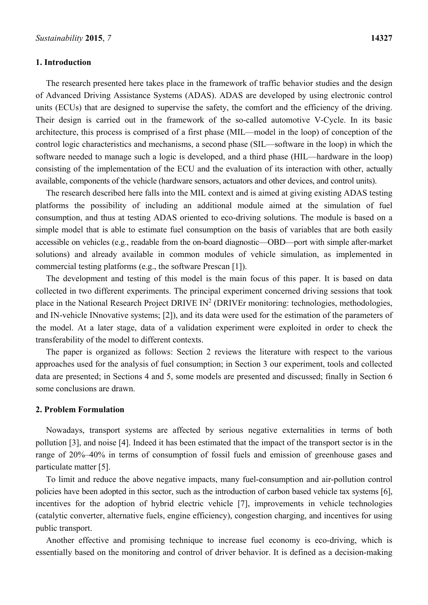#### **1. Introduction**

The research presented here takes place in the framework of traffic behavior studies and the design

of Advanced Driving Assistance Systems (ADAS). ADAS are developed by using electronic control units (ECUs) that are designed to supervise the safety, the comfort and the efficiency of the driving. Their design is carried out in the framework of the so-called automotive V-Cycle. In its basic architecture, this process is comprised of a first phase (MIL—model in the loop) of conception of the control logic characteristics and mechanisms, a second phase (SIL—software in the loop) in which the software needed to manage such a logic is developed, and a third phase (HIL—hardware in the loop) consisting of the implementation of the ECU and the evaluation of its interaction with other, actually available, components of the vehicle (hardware sensors, actuators and other devices, and control units).

The research described here falls into the MIL context and is aimed at giving existing ADAS testing platforms the possibility of including an additional module aimed at the simulation of fuel consumption, and thus at testing ADAS oriented to eco-driving solutions. The module is based on a simple model that is able to estimate fuel consumption on the basis of variables that are both easily accessible on vehicles (e.g., readable from the on-board diagnostic—OBD—port with simple after-market solutions) and already available in common modules of vehicle simulation, as implemented in commercial testing platforms (e.g., the software Prescan [1]).

The development and testing of this model is the main focus of this paper. It is based on data collected in two different experiments. The principal experiment concerned driving sessions that took place in the National Research Project DRIVE IN<sup>2</sup> (DRIVEr monitoring: technologies, methodologies, and IN-vehicle INnovative systems; [2]), and its data were used for the estimation of the parameters of the model. At a later stage, data of a validation experiment were exploited in order to check the transferability of the model to different contexts.

The paper is organized as follows: Section 2 reviews the literature with respect to the various approaches used for the analysis of fuel consumption; in Section 3 our experiment, tools and collected data are presented; in Sections 4 and 5, some models are presented and discussed; finally in Section 6 some conclusions are drawn.

#### **2. Problem Formulation**

Nowadays, transport systems are affected by serious negative externalities in terms of both pollution [3], and noise [4]. Indeed it has been estimated that the impact of the transport sector is in the range of 20%–40% in terms of consumption of fossil fuels and emission of greenhouse gases and particulate matter [5].

To limit and reduce the above negative impacts, many fuel-consumption and air-pollution control policies have been adopted in this sector, such as the introduction of carbon based vehicle tax systems [6], incentives for the adoption of hybrid electric vehicle [7], improvements in vehicle technologies (catalytic converter, alternative fuels, engine efficiency), congestion charging, and incentives for using public transport.

Another effective and promising technique to increase fuel economy is eco-driving, which is essentially based on the monitoring and control of driver behavior. It is defined as a decision-making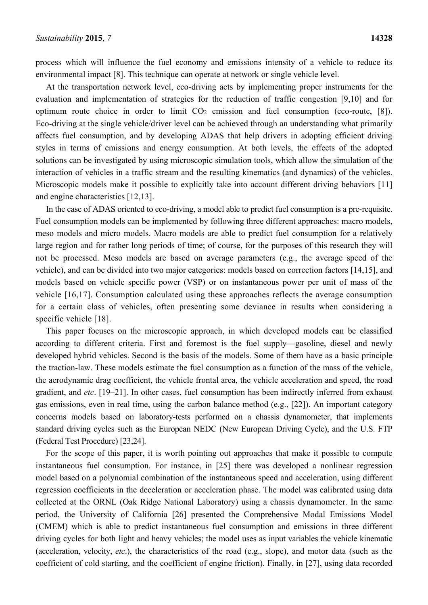process which will influence the fuel economy and emissions intensity of a vehicle to reduce its environmental impact [8]. This technique can operate at network or single vehicle level.

At the transportation network level, eco-driving acts by implementing proper instruments for the evaluation and implementation of strategies for the reduction of traffic congestion [9,10] and for optimum route choice in order to limit  $CO<sub>2</sub>$  emission and fuel consumption (eco-route, [8]). Eco-driving at the single vehicle/driver level can be achieved through an understanding what primarily affects fuel consumption, and by developing ADAS that help drivers in adopting efficient driving styles in terms of emissions and energy consumption. At both levels, the effects of the adopted solutions can be investigated by using microscopic simulation tools, which allow the simulation of the interaction of vehicles in a traffic stream and the resulting kinematics (and dynamics) of the vehicles. Microscopic models make it possible to explicitly take into account different driving behaviors [11] and engine characteristics [12,13].

In the case of ADAS oriented to eco-driving, a model able to predict fuel consumption is a pre-requisite. Fuel consumption models can be implemented by following three different approaches: macro models, meso models and micro models. Macro models are able to predict fuel consumption for a relatively large region and for rather long periods of time; of course, for the purposes of this research they will not be processed. Meso models are based on average parameters (e.g., the average speed of the vehicle), and can be divided into two major categories: models based on correction factors [14,15], and models based on vehicle specific power (VSP) or on instantaneous power per unit of mass of the vehicle [16,17]. Consumption calculated using these approaches reflects the average consumption for a certain class of vehicles, often presenting some deviance in results when considering a specific vehicle [18].

This paper focuses on the microscopic approach, in which developed models can be classified according to different criteria. First and foremost is the fuel supply—gasoline, diesel and newly developed hybrid vehicles. Second is the basis of the models. Some of them have as a basic principle the traction-law. These models estimate the fuel consumption as a function of the mass of the vehicle, the aerodynamic drag coefficient, the vehicle frontal area, the vehicle acceleration and speed, the road gradient, and *etc*. [19–21]. In other cases, fuel consumption has been indirectly inferred from exhaust gas emissions, even in real time, using the carbon balance method (e.g., [22]). An important category concerns models based on laboratory-tests performed on a chassis dynamometer, that implements standard driving cycles such as the European NEDC (New European Driving Cycle), and the U.S. FTP (Federal Test Procedure) [23,24].

For the scope of this paper, it is worth pointing out approaches that make it possible to compute instantaneous fuel consumption. For instance, in [25] there was developed a nonlinear regression model based on a polynomial combination of the instantaneous speed and acceleration, using different regression coefficients in the deceleration or acceleration phase. The model was calibrated using data collected at the ORNL (Oak Ridge National Laboratory) using a chassis dynamometer. In the same period, the University of California [26] presented the Comprehensive Modal Emissions Model (CMEM) which is able to predict instantaneous fuel consumption and emissions in three different driving cycles for both light and heavy vehicles; the model uses as input variables the vehicle kinematic (acceleration, velocity, *etc*.), the characteristics of the road (e.g., slope), and motor data (such as the coefficient of cold starting, and the coefficient of engine friction). Finally, in [27], using data recorded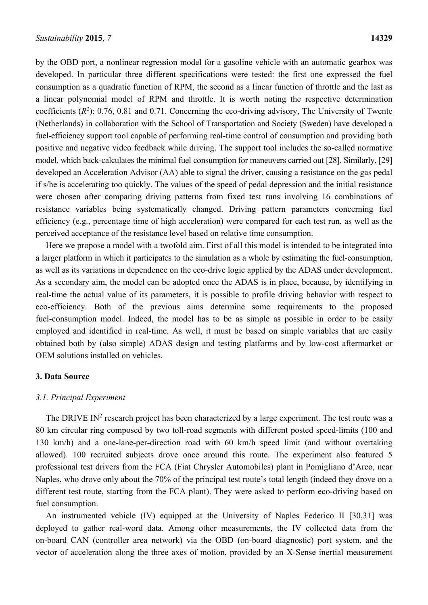by the OBD port, a nonlinear regression model for a gasoline vehicle with an automatic gearbox was developed. In particular three different specifications were tested: the first one expressed the fuel consumption as a quadratic function of RPM, the second as a linear function of throttle and the last as a linear polynomial model of RPM and throttle. It is worth noting the respective determination coefficients  $(R^2)$ : 0.76, 0.81 and 0.71. Concerning the eco-driving advisory, The University of Twente (Netherlands) in collaboration with the School of Transportation and Society (Sweden) have developed a fuel-efficiency support tool capable of performing real-time control of consumption and providing both positive and negative video feedback while driving. The support tool includes the so-called normative model, which back-calculates the minimal fuel consumption for maneuvers carried out [28]. Similarly, [29] developed an Acceleration Advisor (AA) able to signal the driver, causing a resistance on the gas pedal if s/he is accelerating too quickly. The values of the speed of pedal depression and the initial resistance were chosen after comparing driving patterns from fixed test runs involving 16 combinations of resistance variables being systematically changed. Driving pattern parameters concerning fuel efficiency (e.g., percentage time of high acceleration) were compared for each test run, as well as the perceived acceptance of the resistance level based on relative time consumption.

Here we propose a model with a twofold aim. First of all this model is intended to be integrated into a larger platform in which it participates to the simulation as a whole by estimating the fuel-consumption, as well as its variations in dependence on the eco-drive logic applied by the ADAS under development. As a secondary aim, the model can be adopted once the ADAS is in place, because, by identifying in real-time the actual value of its parameters, it is possible to profile driving behavior with respect to eco-efficiency. Both of the previous aims determine some requirements to the proposed fuel-consumption model. Indeed, the model has to be as simple as possible in order to be easily employed and identified in real-time. As well, it must be based on simple variables that are easily obtained both by (also simple) ADAS design and testing platforms and by low-cost aftermarket or OEM solutions installed on vehicles.

### **3. Data Source**

## *3.1. Principal Experiment*

The DRIVE IN<sup>2</sup> research project has been characterized by a large experiment. The test route was a 80 km circular ring composed by two toll-road segments with different posted speed-limits (100 and 130 km/h) and a one-lane-per-direction road with 60 km/h speed limit (and without overtaking allowed). 100 recruited subjects drove once around this route. The experiment also featured 5 professional test drivers from the FCA (Fiat Chrysler Automobiles) plant in Pomigliano d'Arco, near Naples, who drove only about the 70% of the principal test route's total length (indeed they drove on a different test route, starting from the FCA plant). They were asked to perform eco-driving based on fuel consumption.

An instrumented vehicle (IV) equipped at the University of Naples Federico II [30,31] was deployed to gather real-word data. Among other measurements, the IV collected data from the on-board CAN (controller area network) via the OBD (on-board diagnostic) port system, and the vector of acceleration along the three axes of motion, provided by an X-Sense inertial measurement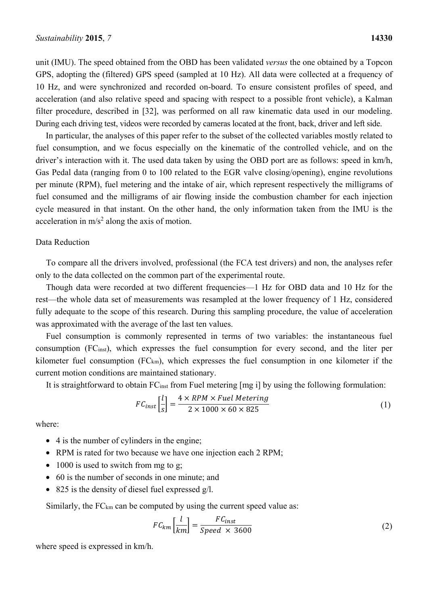unit (IMU). The speed obtained from the OBD has been validated *versus* the one obtained by a Topcon GPS, adopting the (filtered) GPS speed (sampled at 10 Hz). All data were collected at a frequency of 10 Hz, and were synchronized and recorded on-board. To ensure consistent profiles of speed, and acceleration (and also relative speed and spacing with respect to a possible front vehicle), a Kalman filter procedure, described in [32], was performed on all raw kinematic data used in our modeling. During each driving test, videos were recorded by cameras located at the front, back, driver and left side.

In particular, the analyses of this paper refer to the subset of the collected variables mostly related to fuel consumption, and we focus especially on the kinematic of the controlled vehicle, and on the driver's interaction with it. The used data taken by using the OBD port are as follows: speed in km/h, Gas Pedal data (ranging from 0 to 100 related to the EGR valve closing/opening), engine revolutions per minute (RPM), fuel metering and the intake of air, which represent respectively the milligrams of fuel consumed and the milligrams of air flowing inside the combustion chamber for each injection cycle measured in that instant. On the other hand, the only information taken from the IMU is the acceleration in  $m/s^2$  along the axis of motion.

## Data Reduction

To compare all the drivers involved, professional (the FCA test drivers) and non, the analyses refer only to the data collected on the common part of the experimental route.

Though data were recorded at two different frequencies—1 Hz for OBD data and 10 Hz for the rest—the whole data set of measurements was resampled at the lower frequency of 1 Hz, considered fully adequate to the scope of this research. During this sampling procedure, the value of acceleration was approximated with the average of the last ten values.

Fuel consumption is commonly represented in terms of two variables: the instantaneous fuel consumption (FCinst), which expresses the fuel consumption for every second, and the liter per kilometer fuel consumption  $(FC<sub>km</sub>)$ , which expresses the fuel consumption in one kilometer if the current motion conditions are maintained stationary.

It is straightforward to obtain FCinst from Fuel metering [mg i] by using the following formulation:

$$
FC_{inst}\left[\frac{l}{s}\right] = \frac{4 \times RPM \times Fuel \; Metering}{2 \times 1000 \times 60 \times 825} \tag{1}
$$

where:

- 4 is the number of cylinders in the engine;
- RPM is rated for two because we have one injection each 2 RPM;
- 1000 is used to switch from mg to g;
- 60 is the number of seconds in one minute; and
- 825 is the density of diesel fuel expressed g/l.

Similarly, the  $FC<sub>km</sub>$  can be computed by using the current speed value as:

$$
FC_{km}\left[\frac{l}{km}\right] = \frac{FC_{inst}}{Speed \times 3600}
$$
 (2)

where speed is expressed in km/h.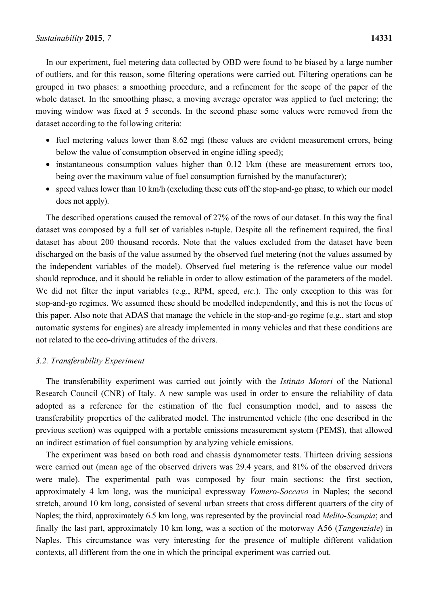In our experiment, fuel metering data collected by OBD were found to be biased by a large number of outliers, and for this reason, some filtering operations were carried out. Filtering operations can be grouped in two phases: a smoothing procedure, and a refinement for the scope of the paper of the whole dataset. In the smoothing phase, a moving average operator was applied to fuel metering; the moving window was fixed at 5 seconds. In the second phase some values were removed from the dataset according to the following criteria:

- fuel metering values lower than 8.62 mgi (these values are evident measurement errors, being below the value of consumption observed in engine idling speed);
- instantaneous consumption values higher than 0.12 l/km (these are measurement errors too, being over the maximum value of fuel consumption furnished by the manufacturer);
- speed values lower than 10 km/h (excluding these cuts off the stop-and-go phase, to which our model does not apply).

The described operations caused the removal of 27% of the rows of our dataset. In this way the final dataset was composed by a full set of variables n-tuple. Despite all the refinement required, the final dataset has about 200 thousand records. Note that the values excluded from the dataset have been discharged on the basis of the value assumed by the observed fuel metering (not the values assumed by the independent variables of the model). Observed fuel metering is the reference value our model should reproduce, and it should be reliable in order to allow estimation of the parameters of the model. We did not filter the input variables (e.g., RPM, speed, *etc*.). The only exception to this was for stop-and-go regimes. We assumed these should be modelled independently, and this is not the focus of this paper. Also note that ADAS that manage the vehicle in the stop-and-go regime (e.g., start and stop automatic systems for engines) are already implemented in many vehicles and that these conditions are not related to the eco-driving attitudes of the drivers.

#### *3.2. Transferability Experiment*

The transferability experiment was carried out jointly with the *Istituto Motori* of the National Research Council (CNR) of Italy. A new sample was used in order to ensure the reliability of data adopted as a reference for the estimation of the fuel consumption model, and to assess the transferability properties of the calibrated model. The instrumented vehicle (the one described in the previous section) was equipped with a portable emissions measurement system (PEMS), that allowed an indirect estimation of fuel consumption by analyzing vehicle emissions.

The experiment was based on both road and chassis dynamometer tests. Thirteen driving sessions were carried out (mean age of the observed drivers was 29.4 years, and 81% of the observed drivers were male). The experimental path was composed by four main sections: the first section, approximately 4 km long, was the municipal expressway *Vomero-Soccavo* in Naples; the second stretch, around 10 km long, consisted of several urban streets that cross different quarters of the city of Naples; the third, approximately 6.5 km long, was represented by the provincial road *Melito-Scampia*; and finally the last part, approximately 10 km long, was a section of the motorway A56 (*Tangenziale*) in Naples. This circumstance was very interesting for the presence of multiple different validation contexts, all different from the one in which the principal experiment was carried out.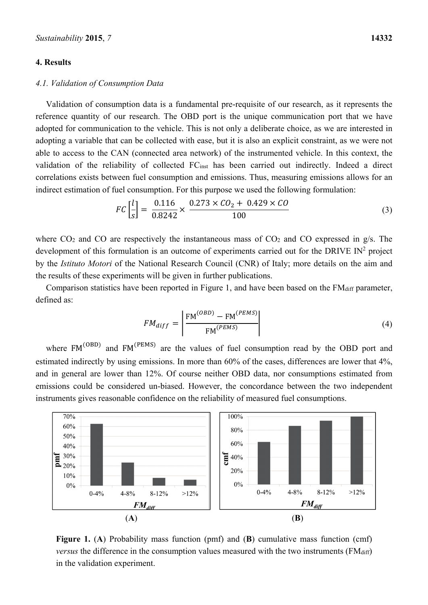### **4. Results**

#### *4.1. Validation of Consumption Data*

Validation of consumption data is a fundamental pre-requisite of our research, as it represents the reference quantity of our research. The OBD port is the unique communication port that we have adopted for communication to the vehicle. This is not only a deliberate choice, as we are interested in adopting a variable that can be collected with ease, but it is also an explicit constraint, as we were not able to access to the CAN (connected area network) of the instrumented vehicle. In this context, the validation of the reliability of collected FCinst has been carried out indirectly. Indeed a direct correlations exists between fuel consumption and emissions. Thus, measuring emissions allows for an indirect estimation of fuel consumption. For this purpose we used the following formulation:

$$
FC\left[\frac{l}{s}\right] = \frac{0.116}{0.8242} \times \frac{0.273 \times CO_2 + 0.429 \times CO}{100}
$$
 (3)

where  $CO<sub>2</sub>$  and  $CO$  are respectively the instantaneous mass of  $CO<sub>2</sub>$  and  $CO$  expressed in g/s. The development of this formulation is an outcome of experiments carried out for the DRIVE  $IN^2$  project by the *Istituto Motori* of the National Research Council (CNR) of Italy; more details on the aim and the results of these experiments will be given in further publications.

Comparison statistics have been reported in Figure 1, and have been based on the FM<sub>diff</sub> parameter, defined as:

$$
FM_{diff} = \left| \frac{FM^{(OBD)} - FM^{(PEMS)}}{FM^{(PEMS)}} \right| \tag{4}
$$

where  $FM^{(OBD)}$  and  $FM^{(PEMS)}$  are the values of fuel consumption read by the OBD port and estimated indirectly by using emissions. In more than 60% of the cases, differences are lower that 4%, and in general are lower than 12%. Of course neither OBD data, nor consumptions estimated from emissions could be considered un-biased. However, the concordance between the two independent instruments gives reasonable confidence on the reliability of measured fuel consumptions.



**Figure 1.** (**A**) Probability mass function (pmf) and (**B**) cumulative mass function (cmf) *versus* the difference in the consumption values measured with the two instruments (FMdiff) in the validation experiment.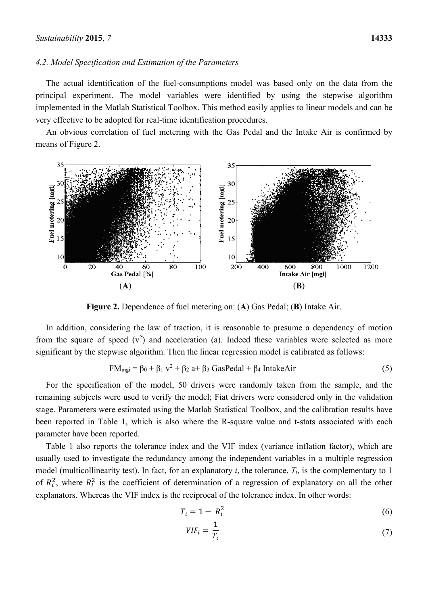#### *4.2. Model Specification and Estimation of the Parameters*

The actual identification of the fuel-consumptions model was based only on the data from the principal experiment. The model variables were identified by using the stepwise algorithm implemented in the Matlab Statistical Toolbox. This method easily applies to linear models and can be very effective to be adopted for real-time identification procedures.

An obvious correlation of fuel metering with the Gas Pedal and the Intake Air is confirmed by means of Figure 2.



**Figure 2.** Dependence of fuel metering on: (**A**) Gas Pedal; (**B**) Intake Air.

In addition, considering the law of traction, it is reasonable to presume a dependency of motion from the square of speed  $(v^2)$  and acceleration (a). Indeed these variables were selected as more significant by the stepwise algorithm. Then the linear regression model is calibrated as follows:

$$
FM_{\text{mgi}} = \beta_0 + \beta_1 v^2 + \beta_2 a + \beta_3 Gas\text{Pedal} + \beta_4 IntakeAir
$$
 (5)

For the specification of the model, 50 drivers were randomly taken from the sample, and the remaining subjects were used to verify the model; Fiat drivers were considered only in the validation stage. Parameters were estimated using the Matlab Statistical Toolbox, and the calibration results have been reported in Table 1, which is also where the R-square value and t-stats associated with each parameter have been reported.

Table 1 also reports the tolerance index and the VIF index (variance inflation factor), which are usually used to investigate the redundancy among the independent variables in a multiple regression model (multicollinearity test). In fact, for an explanatory *i*, the tolerance, *Ti*, is the complementary to 1 of  $R_i^2$ , where  $R_i^2$  is the coefficient of determination of a regression of explanatory on all the other explanators. Whereas the VIF index is the reciprocal of the tolerance index. In other words:

$$
T_i = 1 - R_i^2 \tag{6}
$$

$$
VIF_i = \frac{1}{T_i} \tag{7}
$$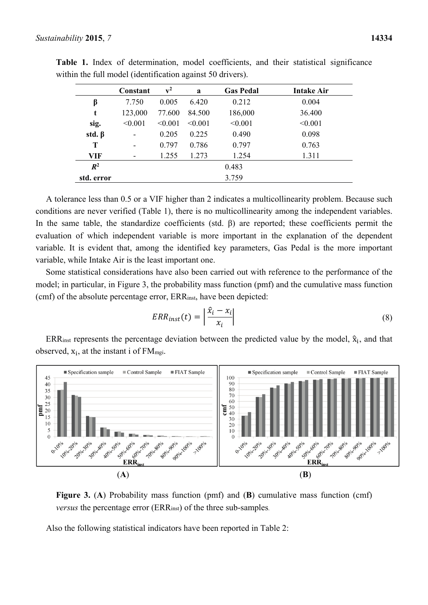|              | Constant                 | ${\bf v}^2$ | a       | <b>Gas Pedal</b> | <b>Intake Air</b> |
|--------------|--------------------------|-------------|---------|------------------|-------------------|
| β            | 7.750                    | 0.005       | 6.420   | 0.212            | 0.004             |
| t            | 123,000                  | 77.600      | 84.500  | 186,000          | 36.400            |
| sig.         | < 0.001                  | < 0.001     | < 0.001 | < 0.001          | < 0.001           |
| std. $\beta$ | $\overline{\phantom{a}}$ | 0.205       | 0.225   | 0.490            | 0.098             |
| Т            | $\overline{\phantom{a}}$ | 0.797       | 0.786   | 0.797            | 0.763             |
| VIF          | -                        | 1.255       | 1.273   | 1.254            | 1.311             |
| $R^2$        |                          | 0.483       |         |                  |                   |
| std. error   | 3.759                    |             |         |                  |                   |

**Table 1.** Index of determination, model coefficients, and their statistical significance within the full model (identification against 50 drivers).

A tolerance less than 0.5 or a VIF higher than 2 indicates a multicollinearity problem. Because such conditions are never verified (Table 1), there is no multicollinearity among the independent variables. In the same table, the standardize coefficients (std. β) are reported; these coefficients permit the evaluation of which independent variable is more important in the explanation of the dependent variable. It is evident that, among the identified key parameters, Gas Pedal is the more important variable, while Intake Air is the least important one.

Some statistical considerations have also been carried out with reference to the performance of the model; in particular, in Figure 3, the probability mass function (pmf) and the cumulative mass function (cmf) of the absolute percentage error, ERRinst, have been depicted:

$$
ERR_{inst}(t) = \left| \frac{\hat{x}_i - x_i}{x_i} \right| \tag{8}
$$

ERR<sub>inst</sub> represents the percentage deviation between the predicted value by the model,  $\hat{x}_i$ , and that observed,  $x_i$ , at the instant i of FM<sub>mgi</sub>.



**Figure 3.** (**A**) Probability mass function (pmf) and (**B**) cumulative mass function (cmf) *versus* the percentage error (ERRinst) of the three sub-samples*.*

Also the following statistical indicators have been reported in Table 2: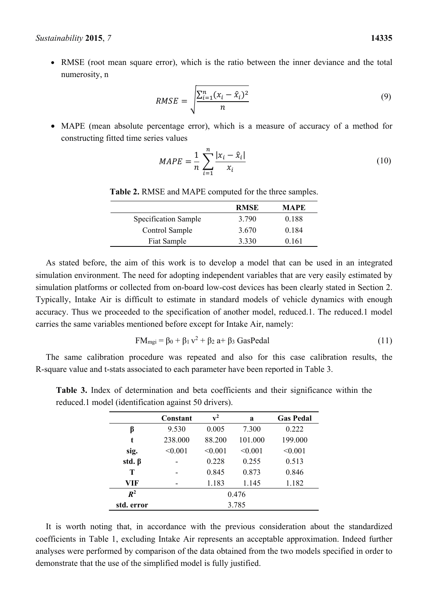• RMSE (root mean square error), which is the ratio between the inner deviance and the total numerosity, n

$$
RMSE = \sqrt{\frac{\sum_{i=1}^{n} (x_i - \hat{x}_i)^2}{n}}
$$
\n(9)

• MAPE (mean absolute percentage error), which is a measure of accuracy of a method for constructing fitted time series values

$$
MAPE = \frac{1}{n} \sum_{i=1}^{n} \frac{|x_i - \hat{x}_i|}{x_i}
$$
 (10)

|                      | <b>RMSE</b> | <b>MAPE</b> |
|----------------------|-------------|-------------|
| Specification Sample | 3 790       | 0.188       |
| Control Sample       | 3.670       | 0.184       |
| Fiat Sample          | 3.330       | 0 161       |

**Table 2.** RMSE and MAPE computed for the three samples.

As stated before, the aim of this work is to develop a model that can be used in an integrated simulation environment. The need for adopting independent variables that are very easily estimated by simulation platforms or collected from on-board low-cost devices has been clearly stated in Section 2. Typically, Intake Air is difficult to estimate in standard models of vehicle dynamics with enough accuracy. Thus we proceeded to the specification of another model, reduced.1. The reduced.1 model carries the same variables mentioned before except for Intake Air, namely:

$$
FM_{\text{mgi}} = \beta_0 + \beta_1 v^2 + \beta_2 a + \beta_3 Gas\text{Pedal}
$$
 (11)

The same calibration procedure was repeated and also for this case calibration results, the R-square value and t-stats associated to each parameter have been reported in Table 3.

|              | Constant | $v^2$   | a       | <b>Gas Pedal</b> |  |
|--------------|----------|---------|---------|------------------|--|
| β            | 9.530    | 0.005   | 7.300   | 0.222            |  |
| t            | 238.000  | 88.200  | 101.000 | 199.000          |  |
| sig.         | < 0.001  | < 0.001 | < 0.001 | < 0.001          |  |
| std. $\beta$ |          | 0.228   | 0.255   | 0.513            |  |
| т            |          | 0.845   | 0.873   | 0.846            |  |
| VIF          |          | 1.183   | 1.145   | 1.182            |  |
| $R^2$        | 0.476    |         |         |                  |  |
| std. error   | 3.785    |         |         |                  |  |

**Table 3.** Index of determination and beta coefficients and their significance within the reduced.1 model (identification against 50 drivers).

It is worth noting that, in accordance with the previous consideration about the standardized coefficients in Table 1, excluding Intake Air represents an acceptable approximation. Indeed further analyses were performed by comparison of the data obtained from the two models specified in order to demonstrate that the use of the simplified model is fully justified.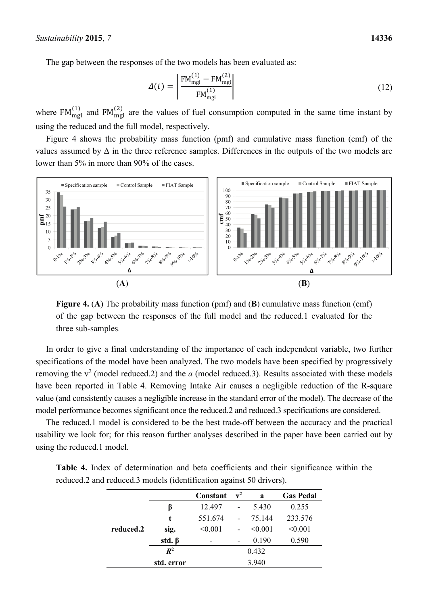The gap between the responses of the two models has been evaluated as:

$$
\Delta(t) = \left| \frac{\mathrm{FM}_{\mathrm{mgi}}^{(1)} - \mathrm{FM}_{\mathrm{mgi}}^{(2)}}{\mathrm{FM}_{\mathrm{mgi}}^{(1)}} \right| \tag{12}
$$

where  $FM_{mgi}^{(1)}$  and  $FM_{mgi}^{(2)}$  are the values of fuel consumption computed in the same time instant by using the reduced and the full model, respectively.

Figure 4 shows the probability mass function (pmf) and cumulative mass function (cmf) of the values assumed by  $\Delta$  in the three reference samples. Differences in the outputs of the two models are lower than 5% in more than 90% of the cases.



**Figure 4.** (**A**) The probability mass function (pmf) and (**B**) cumulative mass function (cmf) of the gap between the responses of the full model and the reduced.1 evaluated for the three sub-samples*.*

In order to give a final understanding of the importance of each independent variable, two further specifications of the model have been analyzed. The two models have been specified by progressively removing the  $v^2$  (model reduced.2) and the *a* (model reduced.3). Results associated with these models have been reported in Table 4. Removing Intake Air causes a negligible reduction of the R-square value (and consistently causes a negligible increase in the standard error of the model). The decrease of the model performance becomes significant once the reduced.2 and reduced.3 specifications are considered.

The reduced.1 model is considered to be the best trade-off between the accuracy and the practical usability we look for; for this reason further analyses described in the paper have been carried out by using the reduced.1 model.

|           |                | Constant | $v^2$          | a       | <b>Gas Pedal</b> |
|-----------|----------------|----------|----------------|---------|------------------|
|           | β              | 12.497   | $\overline{a}$ | 5.430   | 0.255            |
|           | t              | 551.674  |                | 75.144  | 233.576          |
| reduced.2 | sig.           | < 0.001  |                | < 0.001 | < 0.001          |
|           | std. $\beta$   |          | -              | 0.190   | 0.590            |
|           | $\mathbb{R}^2$ |          |                | 0.432   |                  |
|           | std. error     |          |                | 3.940   |                  |

**Table 4.** Index of determination and beta coefficients and their significance within the reduced.2 and reduced.3 models (identification against 50 drivers).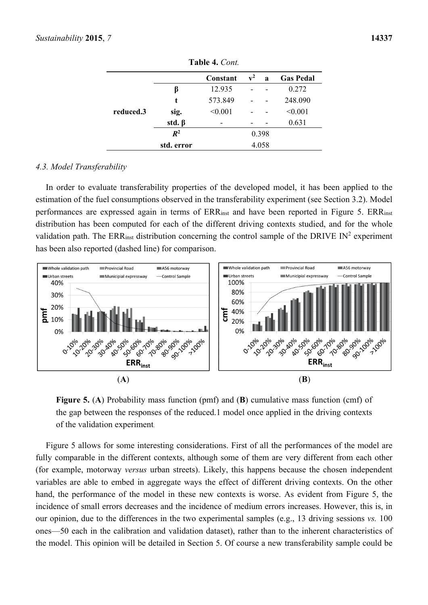| $\blacksquare$ $\blacksquare$ $\blacksquare$ |              |          |       |       |                  |  |  |
|----------------------------------------------|--------------|----------|-------|-------|------------------|--|--|
|                                              |              | Constant | $v^2$ | a     | <b>Gas Pedal</b> |  |  |
|                                              | β            | 12.935   |       |       | 0.272            |  |  |
|                                              | t            | 573.849  |       |       | 248.090          |  |  |
| reduced.3                                    | sig.         | < 0.001  |       |       | < 0.001          |  |  |
|                                              | std. $\beta$ |          |       |       | 0.631            |  |  |
|                                              | $R^2$        |          |       | 0.398 |                  |  |  |
|                                              | std. error   |          |       | 4.058 |                  |  |  |

**Table 4.** *Cont.*

## *4.3. Model Transferability*

In order to evaluate transferability properties of the developed model, it has been applied to the estimation of the fuel consumptions observed in the transferability experiment (see Section 3.2). Model performances are expressed again in terms of ERRinst and have been reported in Figure 5. ERRinst distribution has been computed for each of the different driving contexts studied, and for the whole validation path. The ERR<sub>inst</sub> distribution concerning the control sample of the DRIVE  $IN^2$  experiment has been also reported (dashed line) for comparison.



**Figure 5.** (**A**) Probability mass function (pmf) and (**B**) cumulative mass function (cmf) of the gap between the responses of the reduced.1 model once applied in the driving contexts of the validation experiment*.*

Figure 5 allows for some interesting considerations. First of all the performances of the model are fully comparable in the different contexts, although some of them are very different from each other (for example, motorway *versus* urban streets). Likely, this happens because the chosen independent variables are able to embed in aggregate ways the effect of different driving contexts. On the other hand, the performance of the model in these new contexts is worse. As evident from Figure 5, the incidence of small errors decreases and the incidence of medium errors increases. However, this is, in our opinion, due to the differences in the two experimental samples (e.g., 13 driving sessions *vs.* 100 ones—50 each in the calibration and validation dataset), rather than to the inherent characteristics of the model. This opinion will be detailed in Section 5. Of course a new transferability sample could be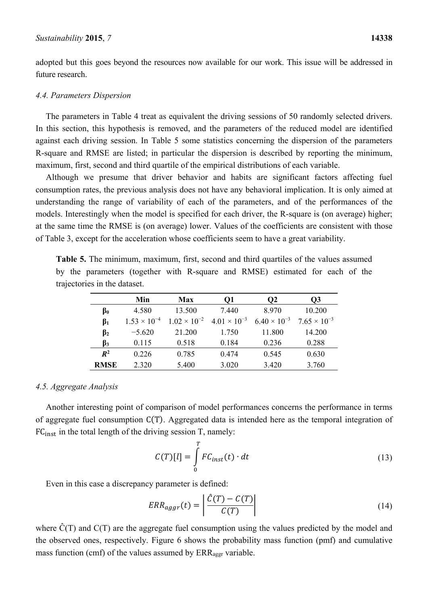adopted but this goes beyond the resources now available for our work. This issue will be addressed in future research.

## *4.4. Parameters Dispersion*

The parameters in Table 4 treat as equivalent the driving sessions of 50 randomly selected drivers. In this section, this hypothesis is removed, and the parameters of the reduced model are identified against each driving session. In Table 5 some statistics concerning the dispersion of the parameters R-square and RMSE are listed; in particular the dispersion is described by reporting the minimum, maximum, first, second and third quartile of the empirical distributions of each variable.

Although we presume that driver behavior and habits are significant factors affecting fuel consumption rates, the previous analysis does not have any behavioral implication. It is only aimed at understanding the range of variability of each of the parameters, and of the performances of the models. Interestingly when the model is specified for each driver, the R-square is (on average) higher; at the same time the RMSE is (on average) lower. Values of the coefficients are consistent with those of Table 3, except for the acceleration whose coefficients seem to have a great variability.

**Table 5.** The minimum, maximum, first, second and third quartiles of the values assumed by the parameters (together with R-square and RMSE) estimated for each of the trajectories in the dataset.

|                | Min                   | Max                   | 01                    | O2                    | <b>O3</b>             |
|----------------|-----------------------|-----------------------|-----------------------|-----------------------|-----------------------|
| $\beta_0$      | 4.580                 | 13.500                | 7.440                 | 8.970                 | 10.200                |
| $\beta_1$      | $1.53 \times 10^{-4}$ | $1.02 \times 10^{-2}$ | $4.01 \times 10^{-3}$ | $6.40 \times 10^{-3}$ | $7.65 \times 10^{-3}$ |
| $\beta_2$      | $-5.620$              | 21.200                | 1.750                 | 11.800                | 14.200                |
| $\beta_3$      | 0.115                 | 0.518                 | 0.184                 | 0.236                 | 0.288                 |
| $\mathbb{R}^2$ | 0.226                 | 0.785                 | 0.474                 | 0.545                 | 0.630                 |
| <b>RMSE</b>    | 2.320                 | 5.400                 | 3.020                 | 3.420                 | 3.760                 |

#### *4.5. Aggregate Analysis*

Another interesting point of comparison of model performances concerns the performance in terms of aggregate fuel consumption C(T). Aggregated data is intended here as the temporal integration of  $FC<sub>inst</sub>$  in the total length of the driving session T, namely:

$$
C(T)[l] = \int_{0}^{T} FC_{inst}(t) \cdot dt
$$
 (13)

Even in this case a discrepancy parameter is defined:

$$
ERR_{aggr}(t) = \left| \frac{\hat{C}(T) - C(T)}{C(T)} \right| \tag{14}
$$

where  $\hat{C}(T)$  and  $C(T)$  are the aggregate fuel consumption using the values predicted by the model and the observed ones, respectively. Figure 6 shows the probability mass function (pmf) and cumulative mass function (cmf) of the values assumed by ERRaggr variable.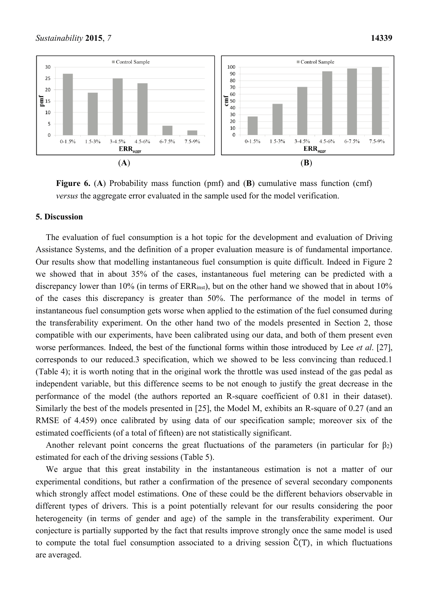

**Figure 6.** (**A**) Probability mass function (pmf) and (**B**) cumulative mass function (cmf) *versus* the aggregate error evaluated in the sample used for the model verification.

## **5. Discussion**

The evaluation of fuel consumption is a hot topic for the development and evaluation of Driving Assistance Systems, and the definition of a proper evaluation measure is of fundamental importance. Our results show that modelling instantaneous fuel consumption is quite difficult. Indeed in Figure 2 we showed that in about 35% of the cases, instantaneous fuel metering can be predicted with a discrepancy lower than 10% (in terms of ERR<sub>inst</sub>), but on the other hand we showed that in about 10% of the cases this discrepancy is greater than 50%. The performance of the model in terms of instantaneous fuel consumption gets worse when applied to the estimation of the fuel consumed during the transferability experiment. On the other hand two of the models presented in Section 2, those compatible with our experiments, have been calibrated using our data, and both of them present even worse performances. Indeed, the best of the functional forms within those introduced by Lee *et al*. [27], corresponds to our reduced.3 specification, which we showed to be less convincing than reduced.1 (Table 4); it is worth noting that in the original work the throttle was used instead of the gas pedal as independent variable, but this difference seems to be not enough to justify the great decrease in the performance of the model (the authors reported an R-square coefficient of 0.81 in their dataset). Similarly the best of the models presented in [25], the Model M, exhibits an R-square of 0.27 (and an RMSE of 4.459) once calibrated by using data of our specification sample; moreover six of the estimated coefficients (of a total of fifteen) are not statistically significant.

Another relevant point concerns the great fluctuations of the parameters (in particular for  $\beta_2$ ) estimated for each of the driving sessions (Table 5).

We argue that this great instability in the instantaneous estimation is not a matter of our experimental conditions, but rather a confirmation of the presence of several secondary components which strongly affect model estimations. One of these could be the different behaviors observable in different types of drivers. This is a point potentially relevant for our results considering the poor heterogeneity (in terms of gender and age) of the sample in the transferability experiment. Our conjecture is partially supported by the fact that results improve strongly once the same model is used to compute the total fuel consumption associated to a driving session  $\hat{C}(T)$ , in which fluctuations are averaged.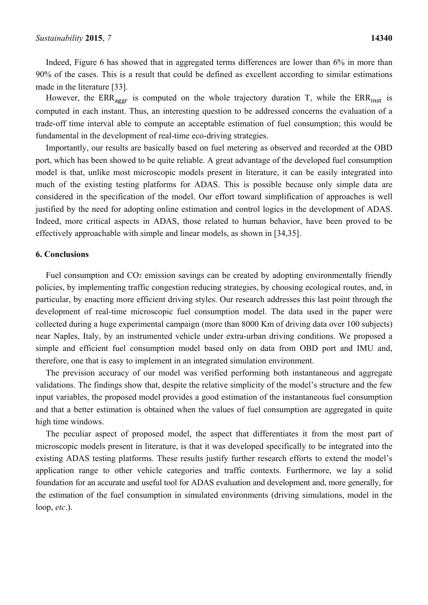Indeed, Figure 6 has showed that in aggregated terms differences are lower than 6% in more than 90% of the cases. This is a result that could be defined as excellent according to similar estimations made in the literature [33].

However, the ERR<sub>aggr</sub> is computed on the whole trajectory duration T, while the ERR<sub>inst</sub> is computed in each instant. Thus, an interesting question to be addressed concerns the evaluation of a trade-off time interval able to compute an acceptable estimation of fuel consumption; this would be fundamental in the development of real-time eco-driving strategies.

Importantly, our results are basically based on fuel metering as observed and recorded at the OBD port, which has been showed to be quite reliable. A great advantage of the developed fuel consumption model is that, unlike most microscopic models present in literature, it can be easily integrated into much of the existing testing platforms for ADAS. This is possible because only simple data are considered in the specification of the model. Our effort toward simplification of approaches is well justified by the need for adopting online estimation and control logics in the development of ADAS. Indeed, more critical aspects in ADAS, those related to human behavior, have been proved to be effectively approachable with simple and linear models, as shown in [34,35].

### **6. Conclusions**

Fuel consumption and CO<sub>2</sub> emission savings can be created by adopting environmentally friendly policies, by implementing traffic congestion reducing strategies, by choosing ecological routes, and, in particular, by enacting more efficient driving styles. Our research addresses this last point through the development of real-time microscopic fuel consumption model. The data used in the paper were collected during a huge experimental campaign (more than 8000 Km of driving data over 100 subjects) near Naples, Italy, by an instrumented vehicle under extra-urban driving conditions. We proposed a simple and efficient fuel consumption model based only on data from OBD port and IMU and, therefore, one that is easy to implement in an integrated simulation environment.

The prevision accuracy of our model was verified performing both instantaneous and aggregate validations. The findings show that, despite the relative simplicity of the model's structure and the few input variables, the proposed model provides a good estimation of the instantaneous fuel consumption and that a better estimation is obtained when the values of fuel consumption are aggregated in quite high time windows.

The peculiar aspect of proposed model, the aspect that differentiates it from the most part of microscopic models present in literature, is that it was developed specifically to be integrated into the existing ADAS testing platforms. These results justify further research efforts to extend the model's application range to other vehicle categories and traffic contexts. Furthermore, we lay a solid foundation for an accurate and useful tool for ADAS evaluation and development and, more generally, for the estimation of the fuel consumption in simulated environments (driving simulations, model in the loop, *etc*.).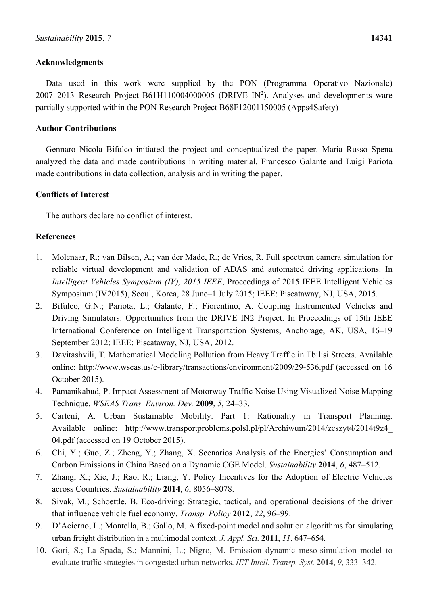# **Acknowledgments**

Data used in this work were supplied by the PON (Programma Operativo Nazionale) 2007–2013–Research Project B61H110004000005 (DRIVE  $IN^2$ ). Analyses and developments ware partially supported within the PON Research Project B68F12001150005 (Apps4Safety)

# **Author Contributions**

Gennaro Nicola Bifulco initiated the project and conceptualized the paper. Maria Russo Spena analyzed the data and made contributions in writing material. Francesco Galante and Luigi Pariota made contributions in data collection, analysis and in writing the paper.

# **Conflicts of Interest**

The authors declare no conflict of interest.

# **References**

- 1. Molenaar, R.; van Bilsen, A.; van der Made, R.; de Vries, R. Full spectrum camera simulation for reliable virtual development and validation of ADAS and automated driving applications. In *Intelligent Vehicles Symposium (IV), 2015 IEEE*, Proceedings of 2015 IEEE Intelligent Vehicles Symposium (IV2015), Seoul, Korea, 28 June–1 July 2015; IEEE: Piscataway, NJ, USA, 2015.
- 2. Bifulco, G.N.; Pariota, L.; Galante, F.; Fiorentino, A. Coupling Instrumented Vehicles and Driving Simulators: Opportunities from the DRIVE IN2 Project. In Proceedings of 15th IEEE International Conference on Intelligent Transportation Systems, Anchorage, AK, USA, 16–19 September 2012; IEEE: Piscataway, NJ, USA, 2012.
- 3. Davitashvili, T. Mathematical Modeling Pollution from Heavy Traffic in Tbilisi Streets. Available online: http://www.wseas.us/e-library/transactions/environment/2009/29-536.pdf (accessed on 16 October 2015).
- 4. Pamanikabud, P. Impact Assessment of Motorway Traffic Noise Using Visualized Noise Mapping Technique. *WSEAS Trans. Environ. Dev.* **2009**, *5*, 24–33.
- 5. Cartenì, A. Urban Sustainable Mobility. Part 1: Rationality in Transport Planning. Available online: http://www.transportproblems.polsl.pl/pl/Archiwum/2014/zeszyt4/2014t9z4\_ 04.pdf (accessed on 19 October 2015).
- 6. Chi, Y.; Guo, Z.; Zheng, Y.; Zhang, X. Scenarios Analysis of the Energies' Consumption and Carbon Emissions in China Based on a Dynamic CGE Model. *Sustainability* **2014**, *6*, 487–512.
- 7. Zhang, X.; Xie, J.; Rao, R.; Liang, Y. Policy Incentives for the Adoption of Electric Vehicles across Countries. *Sustainability* **2014**, *6*, 8056–8078.
- 8. Sivak, M.; Schoettle, B. Eco-driving: Strategic, tactical, and operational decisions of the driver that influence vehicle fuel economy. *Transp. Policy* **2012**, *22*, 96–99.
- 9. D'Acierno, L.; Montella, B.; Gallo, M. A fixed-point model and solution algorithms for simulating urban freight distribution in a multimodal context. *J. Appl. Sci.* **2011**, *11*, 647–654.
- 10. Gori, S.; La Spada, S.; Mannini, L.; Nigro, M. Emission dynamic meso-simulation model to evaluate traffic strategies in congested urban networks. *IET Intell. Transp. Syst.* **2014**, *9*, 333–342.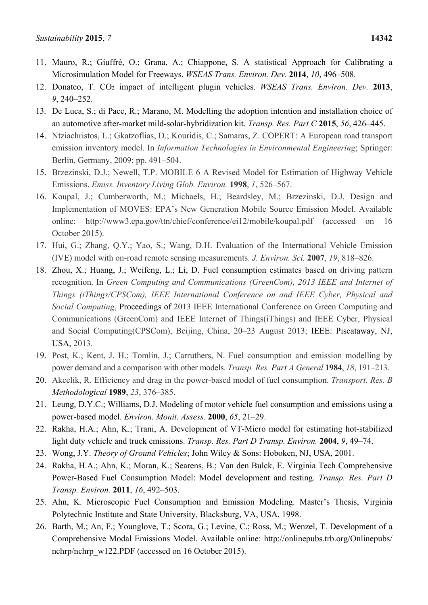- 11. Mauro, R.; Giuffrè, O.; Grana, A.; Chiappone, S. A statistical Approach for Calibrating a Microsimulation Model for Freeways. *WSEAS Trans. Environ. Dev.* **2014**, *10*, 496–508.
- 12. Donateo, T. CO2 impact of intelligent plugin vehicles. *WSEAS Trans. Environ. Dev.* **2013**, *9*, 240–252.
- 13. De Luca, S.; di Pace, R.; Marano, M. Modelling the adoption intention and installation choice of an automotive after-market mild-solar-hybridization kit. *Transp. Res. Part C* **2015**, *56*, 426–445.
- 14. Ntziachristos, L.; Gkatzoflias, D.; Kouridis, C.; Samaras, Z. COPERT: A European road transport emission inventory model. In *Information Technologies in Environmental Engineering*; Springer: Berlin, Germany, 2009; pp. 491–504.
- 15. Brzezinski, D.J.; Newell, T.P. MOBILE 6 A Revised Model for Estimation of Highway Vehicle Emissions. *Emiss. Inventory Living Glob. Environ.* **1998**, *1*, 526–567.
- 16. Koupal, J.; Cumberworth, M.; Michaels, H.; Beardsley, M.; Brzezinski, D.J. Design and Implementation of MOVES: EPA's New Generation Mobile Source Emission Model. Available online: http://www3.epa.gov/ttn/chief/conference/ei12/mobile/koupal.pdf (accessed on 16 October 2015).
- 17. Hui, G.; Zhang, Q.Y.; Yao, S.; Wang, D.H. Evaluation of the International Vehicle Emission (IVE) model with on-road remote sensing measurements. *J. Environ. Sci.* **2007**, *19*, 818–826.
- 18. Zhou, X.; Huang, J.; Weifeng, L.; Li, D. Fuel consumption estimates based on driving pattern recognition. In *Green Computing and Communications (GreenCom), 2013 IEEE and Internet of Things (iThings/CPSCom), IEEE International Conference on and IEEE Cyber, Physical and Social Computing*, Proceedings of 2013 IEEE International Conference on Green Computing and Communications (GreenCom) and IEEE Internet of Things(iThings) and IEEE Cyber, Physical and Social Computing(CPSCom), Beijing, China, 20–23 August 2013; IEEE: Piscataway, NJ, USA, 2013.
- 19. Post, K.; Kent, J. H.; Tomlin, J.; Carruthers, N. Fuel consumption and emission modelling by power demand and a comparison with other models. *Transp. Res. Part A General* **1984**, *18*, 191–213.
- 20. Akcelik, R. Efficiency and drag in the power-based model of fuel consumption. *Transport. Res. B Methodological* **1989**, *23*, 376–385.
- 21. Leung, D.Y.C.; Williams, D.J. Modeling of motor vehicle fuel consumption and emissions using a power-based model. *Environ. Monit. Assess.* **2000**, *65*, 21–29.
- 22. Rakha, H.A.; Ahn, K.; Trani, A. Development of VT-Micro model for estimating hot-stabilized light duty vehicle and truck emissions. *Transp. Res. Part D Transp. Environ.* **2004**, *9*, 49–74.
- 23. Wong, J.Y. *Theory of Ground Vehicles*; John Wiley & Sons: Hoboken, NJ, USA, 2001.
- 24. Rakha, H.A.; Ahn, K.; Moran, K.; Searens, B.; Van den Bulck, E. Virginia Tech Comprehensive Power-Based Fuel Consumption Model: Model development and testing. *Transp. Res. Part D Transp. Environ.* **2011**, *16*, 492–503.
- 25. Ahn, K. Microscopic Fuel Consumption and Emission Modeling. Master's Thesis, Virginia Polytechnic Institute and State University, Blacksburg, VA, USA, 1998.
- 26. Barth, M.; An, F.; Younglove, T.; Scora, G.; Levine, C.; Ross, M.; Wenzel, T. Development of a Comprehensive Modal Emissions Model. Available online: http://onlinepubs.trb.org/Onlinepubs/ nchrp/nchrp\_w122.PDF (accessed on 16 October 2015).